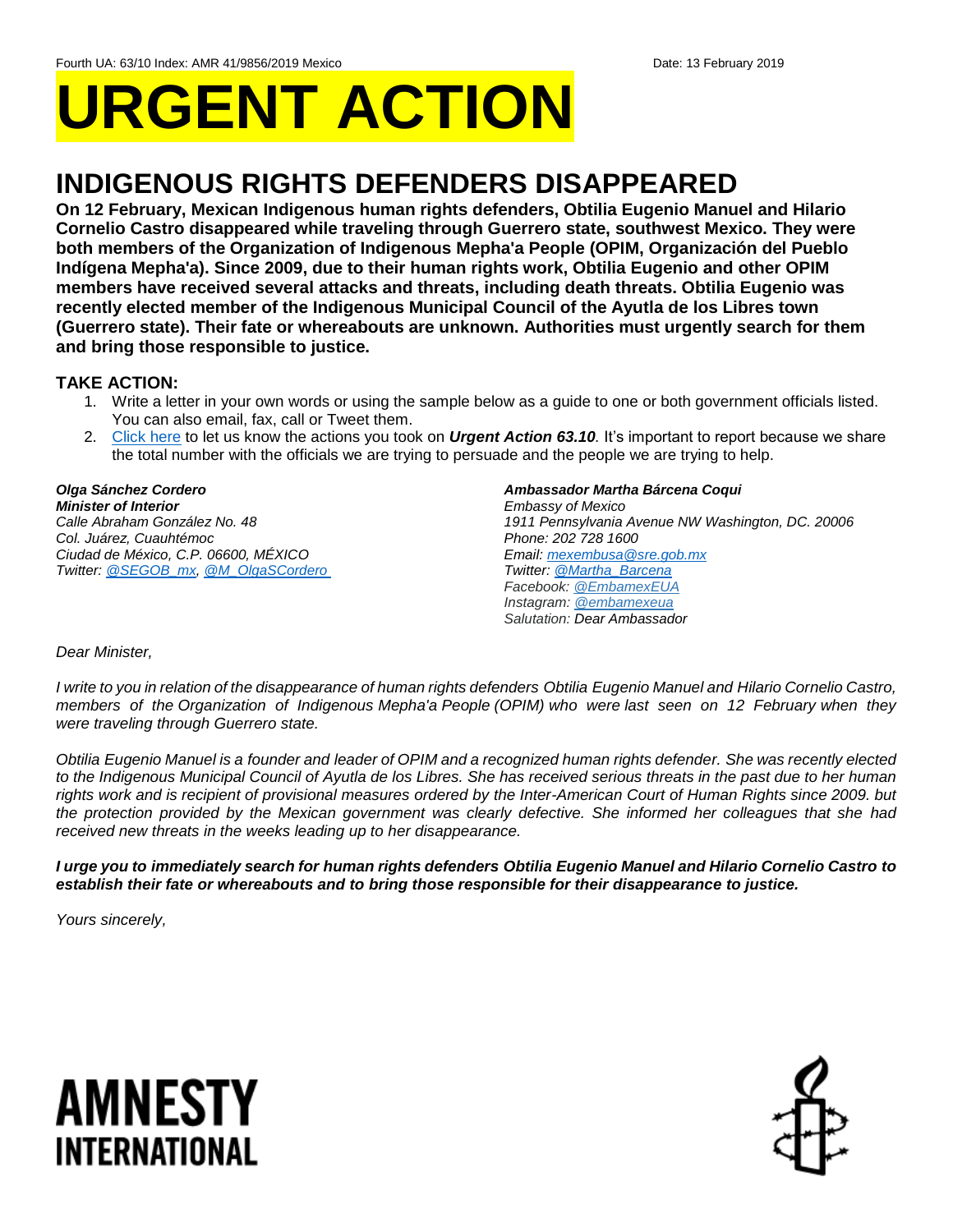# **URGENT ACTION**

## **INDIGENOUS RIGHTS DEFENDERS DISAPPEARED**

**On 12 February, Mexican Indigenous human rights defenders, Obtilia Eugenio Manuel and Hilario Cornelio Castro disappeared while traveling through Guerrero state, southwest Mexico. They were both members of the Organization of Indigenous Mepha'a People (OPIM, Organización del Pueblo Indígena Mepha'a). Since 2009, due to their human rights work, Obtilia Eugenio and other OPIM members have received several attacks and threats, including death threats. Obtilia Eugenio was recently elected member of the Indigenous Municipal Council of the Ayutla de los Libres town (Guerrero state). Their fate or whereabouts are unknown. Authorities must urgently search for them and bring those responsible to justice.**

### **TAKE ACTION:**

- 1. Write a letter in your own words or using the sample below as a guide to one or both government officials listed. You can also email, fax, call or Tweet them.
- 2. [Click here](https://www.amnestyusa.org/report-urgent-actions/) to let us know the actions you took on *Urgent Action 63.10.* It's important to report because we share the total number with the officials we are trying to persuade and the people we are trying to help.

#### *Olga Sánchez Cordero Minister of Interior Calle Abraham González No. 48 Col. Juárez, Cuauhtémoc*

*Ciudad de México, C.P. 06600, MÉXICO Twitter: [@SEGOB\\_mx,](https://twitter.com/segob_mx?lang=en) [@M\\_OlgaSCordero](https://twitter.com/m_olgascordero?lang=en)*

#### *Ambassador Martha Bárcena Coqui*

*Embassy of Mexico 1911 Pennsylvania Avenue NW Washington, DC. 20006 Phone: 202 728 1600 Email[: mexembusa@sre.gob.mx](mailto:mexembusa@sre.gob.mx) Twitter: [@Martha\\_Barcena](https://twitter.com/martha_barcena?lang=en) Facebook: [@EmbamexEUA](https://www.facebook.com/EmbamexEUA/) Instagram: [@embamexeua](https://www.instagram.com/embamexeua/) Salutation: Dear Ambassador*

#### *Dear Minister,*

*I write to you in relation of the disappearance of human rights defenders Obtilia Eugenio Manuel and Hilario Cornelio Castro, members of the Organization of Indigenous Mepha'a People (OPIM) who were last seen on 12 February when they were traveling through Guerrero state.*

*Obtilia Eugenio Manuel is a founder and leader of OPIM and a recognized human rights defender. She was recently elected to the Indigenous Municipal Council of Ayutla de los Libres. She has received serious threats in the past due to her human rights work and is recipient of provisional measures ordered by the Inter-American Court of Human Rights since 2009. but*  the protection provided by the Mexican government was clearly defective. She informed her colleagues that she had *received new threats in the weeks leading up to her disappearance.*

*I urge you to immediately search for human rights defenders Obtilia Eugenio Manuel and Hilario Cornelio Castro to establish their fate or whereabouts and to bring those responsible for their disappearance to justice.*

*Yours sincerely,*